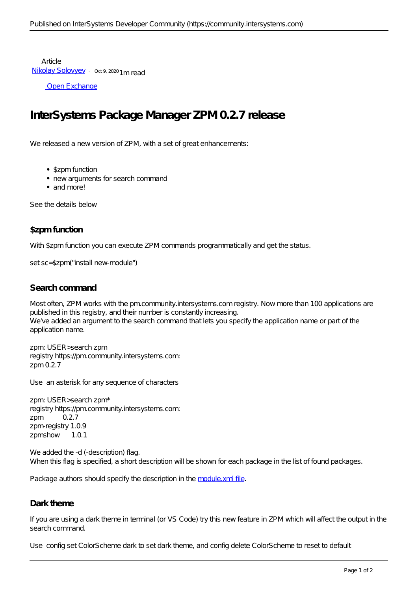**Article** [Nikolay Solovyev](https://community.intersystems.com/user/nikolay-solovyev) · Oct9, 20201m read

[Open Exchange](https://openexchange.intersystems.com/package/ObjectScript-Package-Manager)

## **InterSystems Package Manager ZPM 0.2.7 release**

We released a new version of ZPM, with a set of great enhancements:

- \$zpm function
- new arguments for search command
- and more!

See the details below

## **\$zpm function**

With \$zpm function you can execute ZPM commands programmatically and get the status.

```
set sc=$zpm("install new-module")
```
## **Search command**

Most often, ZPM works with the pm.community.intersystems.com registry. Now more than 100 applications are published in this registry, and their number is constantly increasing. We've added an argument to the search command that lets you specify the application name or part of the application name.

zpm: USER>search zpm registry https://pm.community.intersystems.com: zpm 0.2.7

Use an asterisk for any sequence of characters

zpm: USER>search zpm\* registry https://pm.community.intersystems.com: zpm 0.2.7 zpm-registry 1.0.9 zpmshow 1.0.1

We added the -d (-description) flag. When this flag is specified, a short description will be shown for each package in the list of found packages.

Package authors should specify the description in the module.xml fil.

## **Dark theme**

If you are using a dark theme in terminal (or VS Code) try this new feature in ZPM which will affect the output in the search command.

Use config set ColorScheme dark to set dark theme, and config delete ColorScheme to reset to default